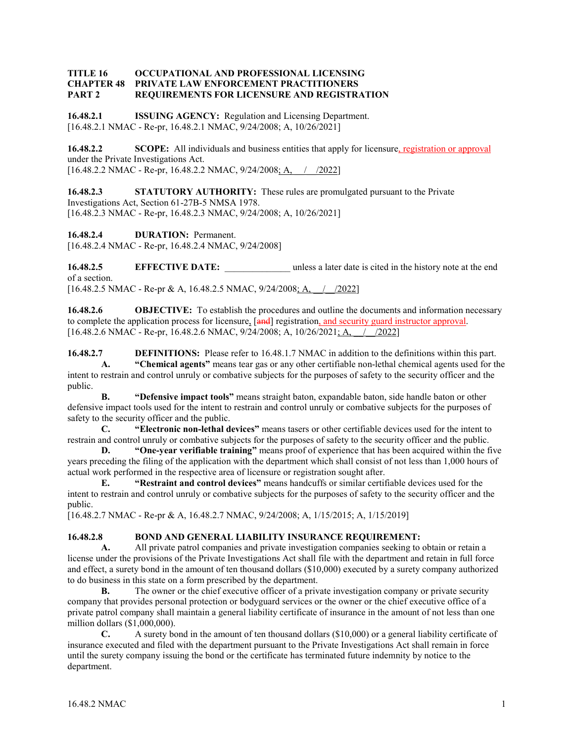#### **TITLE 16 OCCUPATIONAL AND PROFESSIONAL LICENSING CHAPTER 48 PRIVATE LAW ENFORCEMENT PRACTITIONERS PART 2 REQUIREMENTS FOR LICENSURE AND REGISTRATION**

**16.48.2.1 ISSUING AGENCY:** Regulation and Licensing Department. [16.48.2.1 NMAC - Re-pr, 16.48.2.1 NMAC, 9/24/2008; A, 10/26/2021]

**16.48.2.2 SCOPE:** All individuals and business entities that apply for licensure, registration or approval under the Private Investigations Act. [16.48.2.2 NMAC - Re-pr, 16.48.2.2 NMAC, 9/24/2008; A,  $\frac{\sqrt{2022}}{2022}$ ]

**16.48.2.3 STATUTORY AUTHORITY:** These rules are promulgated pursuant to the Private Investigations Act, Section 61-27B-5 NMSA 1978. [16.48.2.3 NMAC - Re-pr, 16.48.2.3 NMAC, 9/24/2008; A, 10/26/2021]

**16.48.2.4 DURATION:** Permanent. [16.48.2.4 NMAC - Re-pr, 16.48.2.4 NMAC, 9/24/2008]

**16.48.2.5 EFFECTIVE DATE:** unless a later date is cited in the history note at the end of a section. [16.48.2.5 NMAC - Re-pr & A, 16.48.2.5 NMAC, 9/24/2008; A, / /2022]

**16.48.2.6 OBJECTIVE:** To establish the procedures and outline the documents and information necessary to complete the application process for licensure, [**and**] registration, and security guard instructor approval.  $[16.48.2.6 \text{ NMAC} - \text{Re-pr}, 16.48.2.6 \text{ NMAC}, 9/24/2008; \text{A}, 10/26/2021; \text{A}, \quad / \quad /2022]$ 

**16.48.2.7 DEFINITIONS:** Please refer to 16.48.1.7 NMAC in addition to the definitions within this part. **A. "Chemical agents"** means tear gas or any other certifiable non-lethal chemical agents used for the intent to restrain and control unruly or combative subjects for the purposes of safety to the security officer and the public.

**B. "Defensive impact tools"** means straight baton, expandable baton, side handle baton or other defensive impact tools used for the intent to restrain and control unruly or combative subjects for the purposes of safety to the security officer and the public.

**C. "Electronic non-lethal devices"** means tasers or other certifiable devices used for the intent to restrain and control unruly or combative subjects for the purposes of safety to the security officer and the public.

**D. "One-year verifiable training"** means proof of experience that has been acquired within the five years preceding the filing of the application with the department which shall consist of not less than 1,000 hours of actual work performed in the respective area of licensure or registration sought after.

**E. "Restraint and control devices"** means handcuffs or similar certifiable devices used for the intent to restrain and control unruly or combative subjects for the purposes of safety to the security officer and the public.

[16.48.2.7 NMAC - Re-pr & A, 16.48.2.7 NMAC, 9/24/2008; A, 1/15/2015; A, 1/15/2019]

#### **16.48.2.8 BOND AND GENERAL LIABILITY INSURANCE REQUIREMENT:**

**A.** All private patrol companies and private investigation companies seeking to obtain or retain a license under the provisions of the Private Investigations Act shall file with the department and retain in full force and effect, a surety bond in the amount of ten thousand dollars (\$10,000) executed by a surety company authorized to do business in this state on a form prescribed by the department.

**B.** The owner or the chief executive officer of a private investigation company or private security company that provides personal protection or bodyguard services or the owner or the chief executive office of a private patrol company shall maintain a general liability certificate of insurance in the amount of not less than one million dollars (\$1,000,000).

**C.** A surety bond in the amount of ten thousand dollars (\$10,000) or a general liability certificate of insurance executed and filed with the department pursuant to the Private Investigations Act shall remain in force until the surety company issuing the bond or the certificate has terminated future indemnity by notice to the department.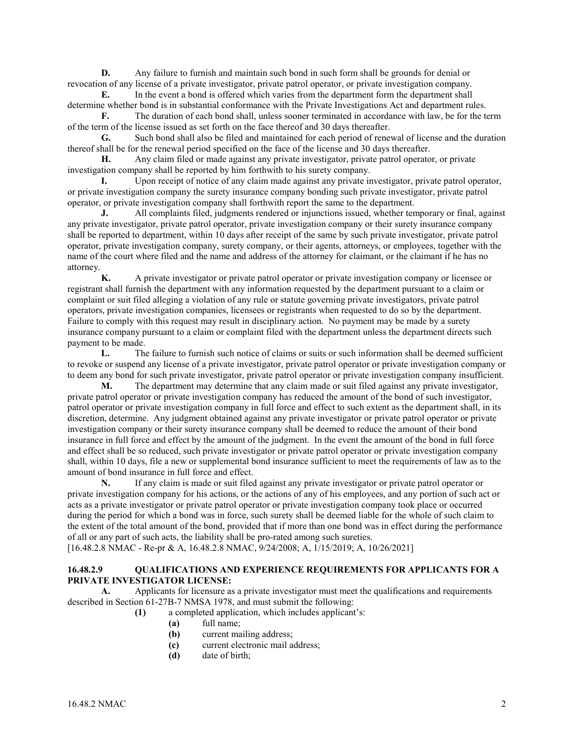**D.** Any failure to furnish and maintain such bond in such form shall be grounds for denial or revocation of any license of a private investigator, private patrol operator, or private investigation company.

**E.** In the event a bond is offered which varies from the department form the department shall determine whether bond is in substantial conformance with the Private Investigations Act and department rules.

**F.** The duration of each bond shall, unless sooner terminated in accordance with law, be for the term of the term of the license issued as set forth on the face thereof and 30 days thereafter.

**G.** Such bond shall also be filed and maintained for each period of renewal of license and the duration thereof shall be for the renewal period specified on the face of the license and 30 days thereafter.

**H.** Any claim filed or made against any private investigator, private patrol operator, or private investigation company shall be reported by him forthwith to his surety company.

**I.** Upon receipt of notice of any claim made against any private investigator, private patrol operator, or private investigation company the surety insurance company bonding such private investigator, private patrol operator, or private investigation company shall forthwith report the same to the department.

**J.** All complaints filed, judgments rendered or injunctions issued, whether temporary or final, against any private investigator, private patrol operator, private investigation company or their surety insurance company shall be reported to department, within 10 days after receipt of the same by such private investigator, private patrol operator, private investigation company, surety company, or their agents, attorneys, or employees, together with the name of the court where filed and the name and address of the attorney for claimant, or the claimant if he has no attorney.

**K.** A private investigator or private patrol operator or private investigation company or licensee or registrant shall furnish the department with any information requested by the department pursuant to a claim or complaint or suit filed alleging a violation of any rule or statute governing private investigators, private patrol operators, private investigation companies, licensees or registrants when requested to do so by the department. Failure to comply with this request may result in disciplinary action. No payment may be made by a surety insurance company pursuant to a claim or complaint filed with the department unless the department directs such payment to be made.

**L.** The failure to furnish such notice of claims or suits or such information shall be deemed sufficient to revoke or suspend any license of a private investigator, private patrol operator or private investigation company or to deem any bond for such private investigator, private patrol operator or private investigation company insufficient.

**M.** The department may determine that any claim made or suit filed against any private investigator, private patrol operator or private investigation company has reduced the amount of the bond of such investigator, patrol operator or private investigation company in full force and effect to such extent as the department shall, in its discretion, determine. Any judgment obtained against any private investigator or private patrol operator or private investigation company or their surety insurance company shall be deemed to reduce the amount of their bond insurance in full force and effect by the amount of the judgment. In the event the amount of the bond in full force and effect shall be so reduced, such private investigator or private patrol operator or private investigation company shall, within 10 days, file a new or supplemental bond insurance sufficient to meet the requirements of law as to the amount of bond insurance in full force and effect.

**N.** If any claim is made or suit filed against any private investigator or private patrol operator or private investigation company for his actions, or the actions of any of his employees, and any portion of such act or acts as a private investigator or private patrol operator or private investigation company took place or occurred during the period for which a bond was in force, such surety shall be deemed liable for the whole of such claim to the extent of the total amount of the bond, provided that if more than one bond was in effect during the performance of all or any part of such acts, the liability shall be pro-rated among such sureties.

[16.48.2.8 NMAC - Re-pr & A, 16.48.2.8 NMAC, 9/24/2008; A, 1/15/2019; A, 10/26/2021]

#### **16.48.2.9 QUALIFICATIONS AND EXPERIENCE REQUIREMENTS FOR APPLICANTS FOR A PRIVATE INVESTIGATOR LICENSE:**

**A.** Applicants for licensure as a private investigator must meet the qualifications and requirements described in Section 61-27B-7 NMSA 1978, and must submit the following:

**(1)** a completed application, which includes applicant's:

- **(a)** full name;
- **(b)** current mailing address;
- **(c)** current electronic mail address;
- **(d)** date of birth;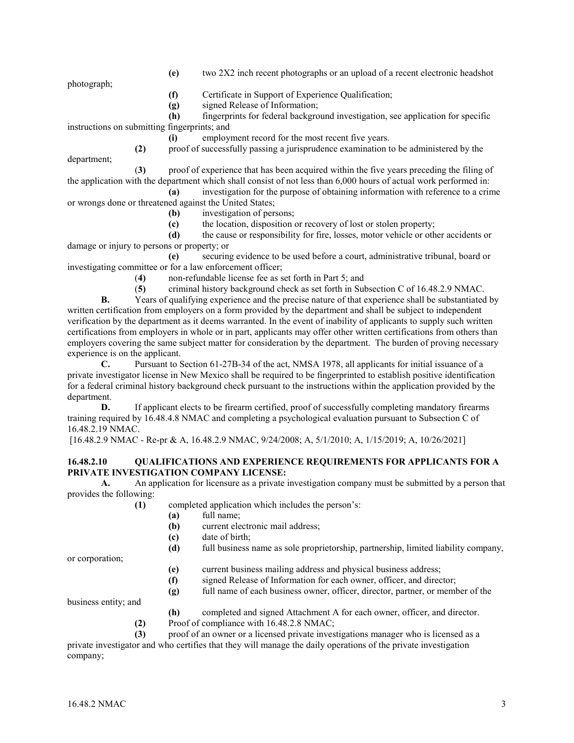photograph;

- **(e)** two 2X2 inch recent photographs or an upload of a recent electronic headshot
- **(f)** Certificate in Support of Experience Qualification;
- **(g)** signed Release of Information;

**(h)** fingerprints for federal background investigation, see application for specific instructions on submitting fingerprints; and

**(i)** employment record for the most recent five years.

**(2)** proof of successfully passing a jurisprudence examination to be administered by the department;

(**3)** proof of experience that has been acquired within the five years preceding the filing of the application with the department which shall consist of not less than 6,000 hours of actual work performed in:

**(a)** investigation for the purpose of obtaining information with reference to a crime or wrongs done or threatened against the United States;

- **(b)** investigation of persons;
- **(c)** the location, disposition or recovery of lost or stolen property;

**(d)** the cause or responsibility for fire, losses, motor vehicle or other accidents or damage or injury to persons or property; or

**(e)** securing evidence to be used before a court, administrative tribunal, board or investigating committee or for a law enforcement officer;

- (**4)** non-refundable license fee as set forth in Part 5; and
- (**5)** criminal history background check as set forth in Subsection C of 16.48.2.9 NMAC.

**B.** Years of qualifying experience and the precise nature of that experience shall be substantiated by written certification from employers on a form provided by the department and shall be subject to independent verification by the department as it deems warranted. In the event of inability of applicants to supply such written certifications from employers in whole or in part, applicants may offer other written certifications from others than employers covering the same subject matter for consideration by the department. The burden of proving necessary experience is on the applicant.

**C.** Pursuant to Section 61-27B-34 of the act, NMSA 1978, all applicants for initial issuance of a private investigator license in New Mexico shall be required to be fingerprinted to establish positive identification for a federal criminal history background check pursuant to the instructions within the application provided by the department.

**D.** If applicant elects to be firearm certified, proof of successfully completing mandatory firearms training required by 16.48.4.8 NMAC and completing a psychological evaluation pursuant to Subsection C of 16.48.2.19 NMAC.

[16.48.2.9 NMAC - Re-pr & A, 16.48.2.9 NMAC, 9/24/2008; A, 5/1/2010; A, 1/15/2019; A, 10/26/2021]

#### **16.48.2.10 QUALIFICATIONS AND EXPERIENCE REQUIREMENTS FOR APPLICANTS FOR A PRIVATE INVESTIGATION COMPANY LICENSE:**

**A.** An application for licensure as a private investigation company must be submitted by a person that provides the following:

**(1)** completed application which includes the person's:

- **(a)** full name;
- current electronic mail address;
- **(c)** date of birth;
- **(d)** full business name as sole proprietorship, partnership, limited liability company,

or corporation;

- **(e)** current business mailing address and physical business address;
- **(f)** signed Release of Information for each owner, officer, and director;
- **(g)** full name of each business owner, officer, director, partner, or member of the

business entity; and

- **(h)** completed and signed Attachment A for each owner, officer, and director.
- **(2)** Proof of compliance with 16.48.2.8 NMAC;

**(3)** proof of an owner or a licensed private investigations manager who is licensed as a private investigator and who certifies that they will manage the daily operations of the private investigation company;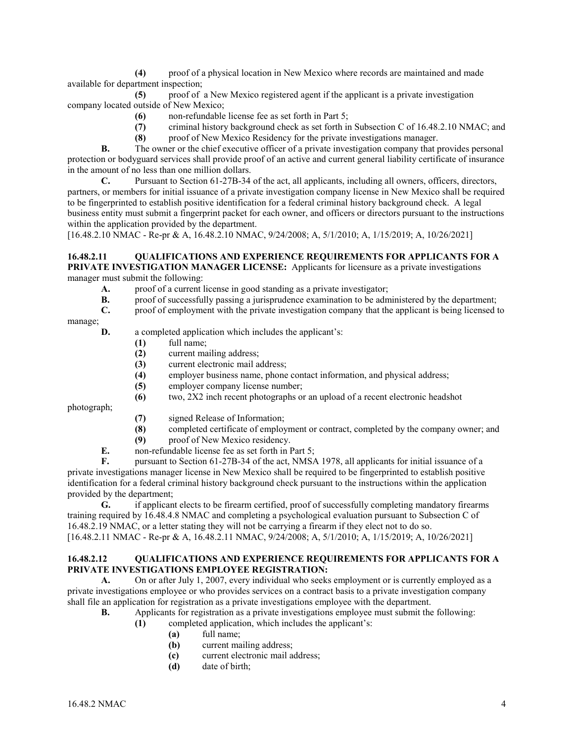**(4)** proof of a physical location in New Mexico where records are maintained and made available for department inspection;

**(5)** proof of a New Mexico registered agent if the applicant is a private investigation company located outside of New Mexico;

- **(6)** non-refundable license fee as set forth in Part 5;
- **(7)** criminal history background check as set forth in Subsection C of 16.48.2.10 NMAC; and
- **(8)** proof of New Mexico Residency for the private investigations manager.

**B.** The owner or the chief executive officer of a private investigation company that provides personal protection or bodyguard services shall provide proof of an active and current general liability certificate of insurance in the amount of no less than one million dollars.

**C.** Pursuant to Section 61-27B-34 of the act, all applicants, including all owners, officers, directors, partners, or members for initial issuance of a private investigation company license in New Mexico shall be required to be fingerprinted to establish positive identification for a federal criminal history background check. A legal business entity must submit a fingerprint packet for each owner, and officers or directors pursuant to the instructions within the application provided by the department.

[16.48.2.10 NMAC - Re-pr & A, 16.48.2.10 NMAC, 9/24/2008; A, 5/1/2010; A, 1/15/2019; A, 10/26/2021]

#### **16.48.2.11 QUALIFICATIONS AND EXPERIENCE REQUIREMENTS FOR APPLICANTS FOR A PRIVATE INVESTIGATION MANAGER LICENSE:** Applicants for licensure as a private investigations manager must submit the following:

- **A.** proof of a current license in good standing as a private investigator;
- **B.** proof of successfully passing a jurisprudence examination to be administered by the department;
- **C.** proof of employment with the private investigation company that the applicant is being licensed to

manage;

- **D.** a completed application which includes the applicant's:
	- **(1)** full name;
	- **(2)** current mailing address;
	- **(3)** current electronic mail address;
	- **(4)** employer business name, phone contact information, and physical address;
	- **(5)** employer company license number;
	- **(6)** two, 2X2 inch recent photographs or an upload of a recent electronic headshot

photograph;

- **(7)** signed Release of Information;
- **(8)** completed certificate of employment or contract, completed by the company owner; and
- **(9)** proof of New Mexico residency.
- **E.** non-refundable license fee as set forth in Part 5;<br>**F.** pursuant to Section 61-27B-34 of the act. NMSA

**F.** pursuant to Section 61-27B-34 of the act, NMSA 1978, all applicants for initial issuance of a private investigations manager license in New Mexico shall be required to be fingerprinted to establish positive identification for a federal criminal history background check pursuant to the instructions within the application provided by the department;

**G.** if applicant elects to be firearm certified, proof of successfully completing mandatory firearms training required by 16.48.4.8 NMAC and completing a psychological evaluation pursuant to Subsection C of 16.48.2.19 NMAC, or a letter stating they will not be carrying a firearm if they elect not to do so. [16.48.2.11 NMAC - Re-pr & A, 16.48.2.11 NMAC, 9/24/2008; A, 5/1/2010; A, 1/15/2019; A, 10/26/2021]

#### **16.48.2.12 QUALIFICATIONS AND EXPERIENCE REQUIREMENTS FOR APPLICANTS FOR A PRIVATE INVESTIGATIONS EMPLOYEE REGISTRATION:**

A. On or after July 1, 2007, every individual who seeks employment or is currently employed as a private investigations employee or who provides services on a contract basis to a private investigation company shall file an application for registration as a private investigations employee with the department.

- **B.** Applicants for registration as a private investigations employee must submit the following:
	- **(1)** completed application, which includes the applicant's:
		- **(a)** full name;
		- **(b)** current mailing address;
		- **(c)** current electronic mail address;
		- **(d)** date of birth;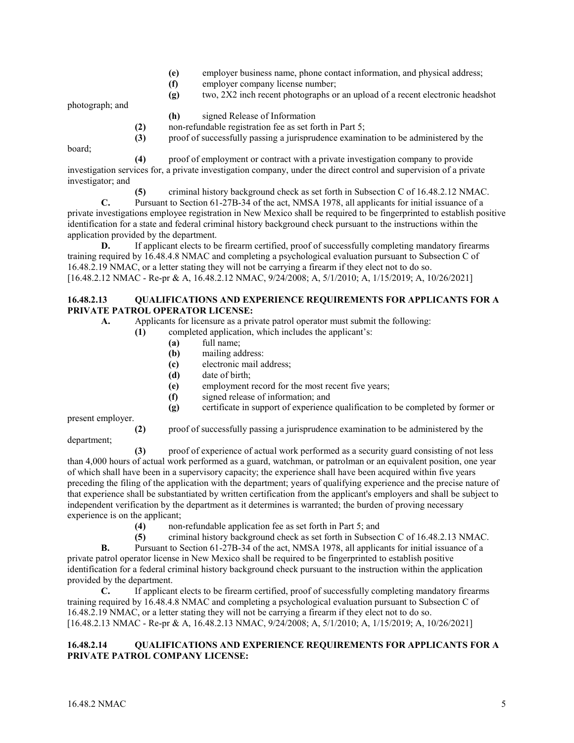- **(e)** employer business name, phone contact information, and physical address;
- **(f)** employer company license number;
- **(g)** two, 2X2 inch recent photographs or an upload of a recent electronic headshot

photograph; and

- **(h)** signed Release of Information
- **(2)** non-refundable registration fee as set forth in Part 5;
- **(3)** proof of successfully passing a jurisprudence examination to be administered by the

board;

**(4)** proof of employment or contract with a private investigation company to provide investigation services for, a private investigation company, under the direct control and supervision of a private investigator; and

**(5)** criminal history background check as set forth in Subsection C of 16.48.2.12 NMAC.

**C.** Pursuant to Section 61-27B-34 of the act, NMSA 1978, all applicants for initial issuance of a private investigations employee registration in New Mexico shall be required to be fingerprinted to establish positive identification for a state and federal criminal history background check pursuant to the instructions within the application provided by the department.

**D.** If applicant elects to be firearm certified, proof of successfully completing mandatory firearms training required by 16.48.4.8 NMAC and completing a psychological evaluation pursuant to Subsection C of 16.48.2.19 NMAC, or a letter stating they will not be carrying a firearm if they elect not to do so. [16.48.2.12 NMAC - Re-pr & A, 16.48.2.12 NMAC, 9/24/2008; A, 5/1/2010; A, 1/15/2019; A, 10/26/2021]

#### **16.48.2.13 QUALIFICATIONS AND EXPERIENCE REQUIREMENTS FOR APPLICANTS FOR A PRIVATE PATROL OPERATOR LICENSE:**

- **A.** Applicants for licensure as a private patrol operator must submit the following:
	- **(1)** completed application, which includes the applicant's:
		- **(a)** full name;
		- **(b)** mailing address:
		- **(c)** electronic mail address;
		- **(d)** date of birth;
		- **(e)** employment record for the most recent five years;
		- **(f)** signed release of information; and
		- **(g)** certificate in support of experience qualification to be completed by former or

present employer.

**(2)** proof of successfully passing a jurisprudence examination to be administered by the

department;

**(3)** proof of experience of actual work performed as a security guard consisting of not less than 4,000 hours of actual work performed as a guard, watchman, or patrolman or an equivalent position, one year of which shall have been in a supervisory capacity; the experience shall have been acquired within five years preceding the filing of the application with the department; years of qualifying experience and the precise nature of that experience shall be substantiated by written certification from the applicant's employers and shall be subject to independent verification by the department as it determines is warranted; the burden of proving necessary experience is on the applicant;<br>(4) non

- **(4)** non-refundable application fee as set forth in Part 5; and
- **(5)** criminal history background check as set forth in Subsection C of 16.48.2.13 NMAC.

**B.** Pursuant to Section 61-27B-34 of the act, NMSA 1978, all applicants for initial issuance of a private patrol operator license in New Mexico shall be required to be fingerprinted to establish positive identification for a federal criminal history background check pursuant to the instruction within the application provided by the department.

**C.** If applicant elects to be firearm certified, proof of successfully completing mandatory firearms training required by 16.48.4.8 NMAC and completing a psychological evaluation pursuant to Subsection C of 16.48.2.19 NMAC, or a letter stating they will not be carrying a firearm if they elect not to do so. [16.48.2.13 NMAC - Re-pr & A, 16.48.2.13 NMAC, 9/24/2008; A, 5/1/2010; A, 1/15/2019; A, 10/26/2021]

## **16.48.2.14 QUALIFICATIONS AND EXPERIENCE REQUIREMENTS FOR APPLICANTS FOR A PRIVATE PATROL COMPANY LICENSE:**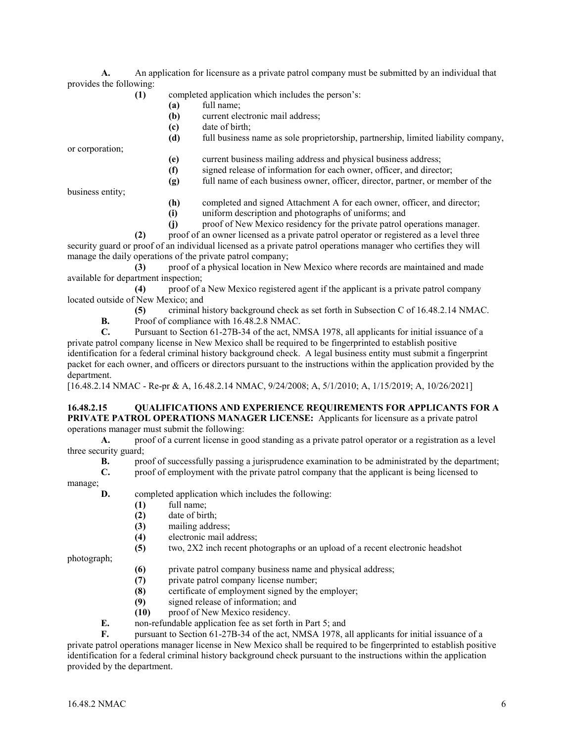**A.** An application for licensure as a private patrol company must be submitted by an individual that provides the following:

- **(1)** completed application which includes the person's:
	- **(a)** full name;
	- **(b)** current electronic mail address;
	- **(c)** date of birth;
	- **(d)** full business name as sole proprietorship, partnership, limited liability company,

or corporation;

- **(e)** current business mailing address and physical business address;
- **(f)** signed release of information for each owner, officer, and director;
- **(g)** full name of each business owner, officer, director, partner, or member of the

business entity;

- **(h)** completed and signed Attachment A for each owner, officer, and director;
- **(i)** uniform description and photographs of uniforms; and
- **(j)** proof of New Mexico residency for the private patrol operations manager.

**(2)** proof of an owner licensed as a private patrol operator or registered as a level three security guard or proof of an individual licensed as a private patrol operations manager who certifies they will manage the daily operations of the private patrol company;

**(3)** proof of a physical location in New Mexico where records are maintained and made available for department inspection;

**(4)** proof of a New Mexico registered agent if the applicant is a private patrol company located outside of New Mexico; and

**(5)** criminal history background check as set forth in Subsection C of 16.48.2.14 NMAC.

**B.** Proof of compliance with 16.48.2.8 NMAC.<br>C. Pursuant to Section 61-27B-34 of the act. NM

**C.** Pursuant to Section 61-27B-34 of the act, NMSA 1978, all applicants for initial issuance of a private patrol company license in New Mexico shall be required to be fingerprinted to establish positive identification for a federal criminal history background check. A legal business entity must submit a fingerprint packet for each owner, and officers or directors pursuant to the instructions within the application provided by the department.

[16.48.2.14 NMAC - Re-pr & A, 16.48.2.14 NMAC, 9/24/2008; A, 5/1/2010; A, 1/15/2019; A, 10/26/2021]

## **16.48.2.15 QUALIFICATIONS AND EXPERIENCE REQUIREMENTS FOR APPLICANTS FOR A PRIVATE PATROL OPERATIONS MANAGER LICENSE:** Applicants for licensure as a private patrol

operations manager must submit the following:

**A.** proof of a current license in good standing as a private patrol operator or a registration as a level three security guard;

- **B.** proof of successfully passing a jurisprudence examination to be administrated by the department;
	- **C.** proof of employment with the private patrol company that the applicant is being licensed to

manage;

**D.** completed application which includes the following:

- **(1)** full name;
- **(2)** date of birth;
- **(3)** mailing address;
- **(4)** electronic mail address;
- **(5)** two, 2X2 inch recent photographs or an upload of a recent electronic headshot

photograph;

- **(6)** private patrol company business name and physical address;
- (7) private patrol company license number;<br>(8) certificate of employment signed by the
- **(8)** certificate of employment signed by the employer;
- **(9)** signed release of information; and
- **(10)** proof of New Mexico residency.
- **E.** non-refundable application fee as set forth in Part 5; and

**F.** pursuant to Section 61-27B-34 of the act, NMSA 1978, all applicants for initial issuance of a private patrol operations manager license in New Mexico shall be required to be fingerprinted to establish positive identification for a federal criminal history background check pursuant to the instructions within the application provided by the department.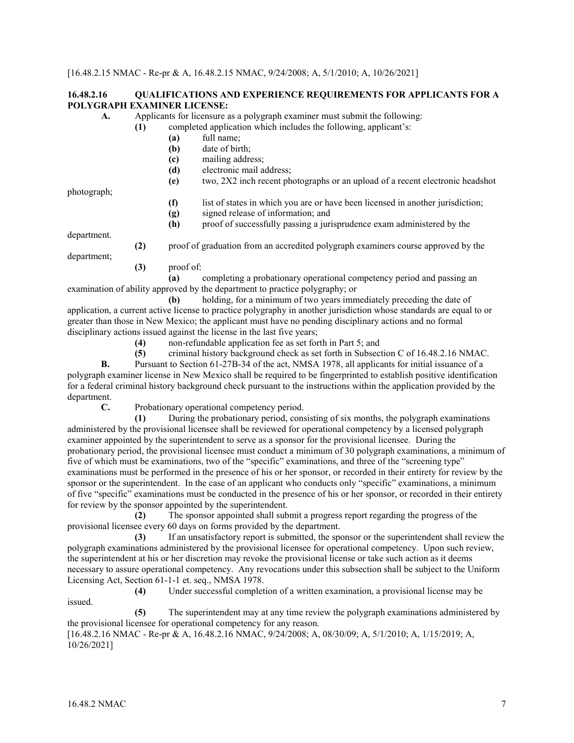#### **16.48.2.16 QUALIFICATIONS AND EXPERIENCE REQUIREMENTS FOR APPLICANTS FOR A POLYGRAPH EXAMINER LICENSE:**

| A.          | Applicants for licensure as a polygraph examiner must submit the following: |                                                                  |                                                                               |  |
|-------------|-----------------------------------------------------------------------------|------------------------------------------------------------------|-------------------------------------------------------------------------------|--|
|             | (1)                                                                         | completed application which includes the following, applicant's: |                                                                               |  |
|             |                                                                             | (a)                                                              | full name;                                                                    |  |
|             |                                                                             | (b)                                                              | date of birth;                                                                |  |
|             |                                                                             | (c)                                                              | mailing address;                                                              |  |
|             |                                                                             | (d)                                                              | electronic mail address;                                                      |  |
|             |                                                                             | (e)                                                              | two, 2X2 inch recent photographs or an upload of a recent electronic headshot |  |
| photograph; |                                                                             |                                                                  |                                                                               |  |
|             |                                                                             |                                                                  |                                                                               |  |

**(f)** list of states in which you are or have been licensed in another jurisdiction;

**(g)** signed release of information; and

**(h)** proof of successfully passing a jurisprudence exam administered by the

department.

**(2)** proof of graduation from an accredited polygraph examiners course approved by the

- department;
	- **(3)** proof of:

**(a)** completing a probationary operational competency period and passing an examination of ability approved by the department to practice polygraphy; or

**(b)** holding, for a minimum of two years immediately preceding the date of application, a current active license to practice polygraphy in another jurisdiction whose standards are equal to or greater than those in New Mexico; the applicant must have no pending disciplinary actions and no formal disciplinary actions issued against the license in the last five years;

**(4)** non-refundable application fee as set forth in Part 5; and

**(5)** criminal history background check as set forth in Subsection C of 16.48.2.16 NMAC.

**B.** Pursuant to Section 61-27B-34 of the act, NMSA 1978, all applicants for initial issuance of a polygraph examiner license in New Mexico shall be required to be fingerprinted to establish positive identification for a federal criminal history background check pursuant to the instructions within the application provided by the department.

**C.** Probationary operational competency period.

**(1)** During the probationary period, consisting of six months, the polygraph examinations administered by the provisional licensee shall be reviewed for operational competency by a licensed polygraph examiner appointed by the superintendent to serve as a sponsor for the provisional licensee. During the probationary period, the provisional licensee must conduct a minimum of 30 polygraph examinations, a minimum of five of which must be examinations, two of the "specific" examinations, and three of the "screening type" examinations must be performed in the presence of his or her sponsor, or recorded in their entirety for review by the sponsor or the superintendent. In the case of an applicant who conducts only "specific" examinations, a minimum of five "specific" examinations must be conducted in the presence of his or her sponsor, or recorded in their entirety for review by the sponsor appointed by the superintendent.

**(2)** The sponsor appointed shall submit a progress report regarding the progress of the provisional licensee every 60 days on forms provided by the department.

**(3)** If an unsatisfactory report is submitted, the sponsor or the superintendent shall review the polygraph examinations administered by the provisional licensee for operational competency. Upon such review, the superintendent at his or her discretion may revoke the provisional license or take such action as it deems necessary to assure operational competency. Any revocations under this subsection shall be subject to the Uniform Licensing Act, Section 61-1-1 et. seq., NMSA 1978.

**(4)** Under successful completion of a written examination, a provisional license may be issued.

**(5)** The superintendent may at any time review the polygraph examinations administered by the provisional licensee for operational competency for any reason.

[16.48.2.16 NMAC - Re-pr & A, 16.48.2.16 NMAC, 9/24/2008; A, 08/30/09; A, 5/1/2010; A, 1/15/2019; A, 10/26/2021]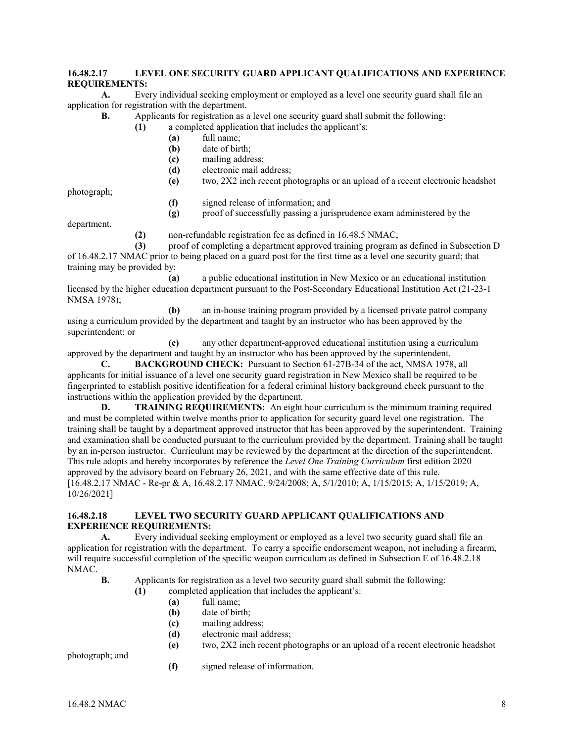## **16.48.2.17 LEVEL ONE SECURITY GUARD APPLICANT QUALIFICATIONS AND EXPERIENCE REQUIREMENTS:**

**A.** Every individual seeking employment or employed as a level one security guard shall file an application for registration with the department.

**B.** Applicants for registration as a level one security guard shall submit the following:

- **(1)** a completed application that includes the applicant's:
	- **(a)** full name;
	- **(b)** date of birth;
	- **(c)** mailing address;
	- **(d)** electronic mail address;
	- **(e)** two, 2X2 inch recent photographs or an upload of a recent electronic headshot

photograph;

- **(f)** signed release of information; and
- **(g)** proof of successfully passing a jurisprudence exam administered by the

department.

**(2)** non-refundable registration fee as defined in 16.48.5 NMAC;

**(3)** proof of completing a department approved training program as defined in Subsection D of 16.48.2.17 NMAC prior to being placed on a guard post for the first time as a level one security guard; that training may be provided by:

**(a)** a public educational institution in New Mexico or an educational institution licensed by the higher education department pursuant to the Post-Secondary Educational Institution Act (21-23-1 NMSA 1978);

**(b)** an in-house training program provided by a licensed private patrol company using a curriculum provided by the department and taught by an instructor who has been approved by the superintendent; or

**(c)** any other department-approved educational institution using a curriculum approved by the department and taught by an instructor who has been approved by the superintendent.

**C. BACKGROUND CHECK:** Pursuant to Section 61-27B-34 of the act, NMSA 1978, all applicants for initial issuance of a level one security guard registration in New Mexico shall be required to be fingerprinted to establish positive identification for a federal criminal history background check pursuant to the instructions within the application provided by the department.

**D. TRAINING REQUIREMENTS:** An eight hour curriculum is the minimum training required and must be completed within twelve months prior to application for security guard level one registration. The training shall be taught by a department approved instructor that has been approved by the superintendent. Training and examination shall be conducted pursuant to the curriculum provided by the department. Training shall be taught by an in-person instructor. Curriculum may be reviewed by the department at the direction of the superintendent. This rule adopts and hereby incorporates by reference the *Level One Training Curriculum* first edition 2020 approved by the advisory board on February 26, 2021, and with the same effective date of this rule. [16.48.2.17 NMAC - Re-pr & A, 16.48.2.17 NMAC, 9/24/2008; A, 5/1/2010; A, 1/15/2015; A, 1/15/2019; A, 10/26/2021]

#### **16.48.2.18 LEVEL TWO SECURITY GUARD APPLICANT QUALIFICATIONS AND EXPERIENCE REQUIREMENTS:**

**A.** Every individual seeking employment or employed as a level two security guard shall file an application for registration with the department. To carry a specific endorsement weapon, not including a firearm, will require successful completion of the specific weapon curriculum as defined in Subsection E of 16.48.2.18 NMAC.

- **B.** Applicants for registration as a level two security guard shall submit the following:
	- **(1)** completed application that includes the applicant's:
		- **(a)** full name;
		- **(b)** date of birth;
		- **(c)** mailing address;
		- **(d)** electronic mail address;
		- **(e)** two, 2X2 inch recent photographs or an upload of a recent electronic headshot

photograph; and

**(f)** signed release of information.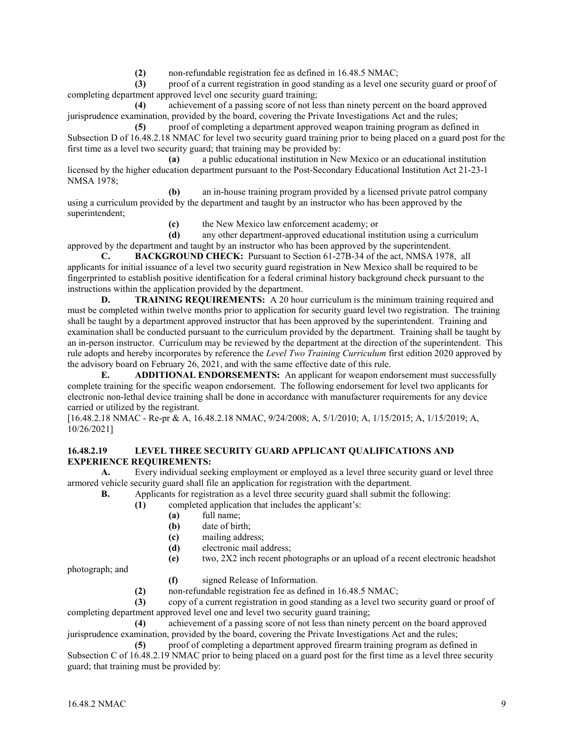**(2)** non-refundable registration fee as defined in 16.48.5 NMAC;

**(3)** proof of a current registration in good standing as a level one security guard or proof of completing department approved level one security guard training;

**(4)** achievement of a passing score of not less than ninety percent on the board approved jurisprudence examination, provided by the board, covering the Private Investigations Act and the rules;

**(5)** proof of completing a department approved weapon training program as defined in Subsection D of 16.48.2.18 NMAC for level two security guard training prior to being placed on a guard post for the first time as a level two security guard; that training may be provided by:

**(a)** a public educational institution in New Mexico or an educational institution licensed by the higher education department pursuant to the Post-Secondary Educational Institution Act 21-23-1 NMSA 1978;

**(b)** an in-house training program provided by a licensed private patrol company using a curriculum provided by the department and taught by an instructor who has been approved by the superintendent;

**(c)** the New Mexico law enforcement academy; or

**(d)** any other department-approved educational institution using a curriculum approved by the department and taught by an instructor who has been approved by the superintendent.

**C. BACKGROUND CHECK:** Pursuant to Section 61-27B-34 of the act, NMSA 1978, all applicants for initial issuance of a level two security guard registration in New Mexico shall be required to be fingerprinted to establish positive identification for a federal criminal history background check pursuant to the instructions within the application provided by the department.

**D. TRAINING REQUIREMENTS:** A 20 hour curriculum is the minimum training required and must be completed within twelve months prior to application for security guard level two registration. The training shall be taught by a department approved instructor that has been approved by the superintendent. Training and examination shall be conducted pursuant to the curriculum provided by the department. Training shall be taught by an in-person instructor. Curriculum may be reviewed by the department at the direction of the superintendent. This rule adopts and hereby incorporates by reference the *Level Two Training Curriculum* first edition 2020 approved by the advisory board on February 26, 2021, and with the same effective date of this rule.

**E. ADDITIONAL ENDORSEMENTS:** An applicant for weapon endorsement must successfully complete training for the specific weapon endorsement. The following endorsement for level two applicants for electronic non-lethal device training shall be done in accordance with manufacturer requirements for any device carried or utilized by the registrant.

[16.48.2.18 NMAC - Re-pr & A, 16.48.2.18 NMAC, 9/24/2008; A, 5/1/2010; A, 1/15/2015; A, 1/15/2019; A, 10/26/2021]

#### **16.48.2.19 LEVEL THREE SECURITY GUARD APPLICANT QUALIFICATIONS AND EXPERIENCE REQUIREMENTS:**

**A.** Every individual seeking employment or employed as a level three security guard or level three armored vehicle security guard shall file an application for registration with the department.

**B.** Applicants for registration as a level three security guard shall submit the following:

- **(1)** completed application that includes the applicant's:
	- **(a)** full name;
	- date of birth:
	- **(c)** mailing address;
	- **(d)** electronic mail address;
	- **(e)** two, 2X2 inch recent photographs or an upload of a recent electronic headshot

photograph; and

- **(f)** signed Release of Information.
- **(2)** non-refundable registration fee as defined in 16.48.5 NMAC;

**(3)** copy of a current registration in good standing as a level two security guard or proof of completing department approved level one and level two security guard training;

**(4)** achievement of a passing score of not less than ninety percent on the board approved jurisprudence examination, provided by the board, covering the Private Investigations Act and the rules;

**(5)** proof of completing a department approved firearm training program as defined in Subsection C of 16.48.2.19 NMAC prior to being placed on a guard post for the first time as a level three security guard; that training must be provided by: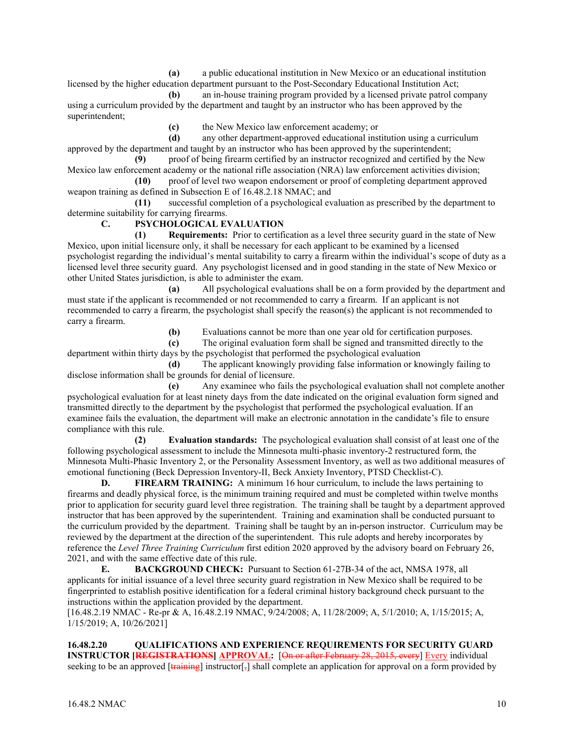**(a)** a public educational institution in New Mexico or an educational institution licensed by the higher education department pursuant to the Post-Secondary Educational Institution Act;

**(b)** an in-house training program provided by a licensed private patrol company using a curriculum provided by the department and taught by an instructor who has been approved by the superintendent;

**(c)** the New Mexico law enforcement academy; or

**(d)** any other department-approved educational institution using a curriculum approved by the department and taught by an instructor who has been approved by the superintendent;

**(9)** proof of being firearm certified by an instructor recognized and certified by the New Mexico law enforcement academy or the national rifle association (NRA) law enforcement activities division;

**(10)** proof of level two weapon endorsement or proof of completing department approved weapon training as defined in Subsection E of 16.48.2.18 NMAC; and

**(11)** successful completion of a psychological evaluation as prescribed by the department to determine suitability for carrying firearms.

#### **C. PSYCHOLOGICAL EVALUATION**

**(1) Requirements:** Prior to certification as a level three security guard in the state of New Mexico, upon initial licensure only, it shall be necessary for each applicant to be examined by a licensed psychologist regarding the individual's mental suitability to carry a firearm within the individual's scope of duty as a licensed level three security guard. Any psychologist licensed and in good standing in the state of New Mexico or other United States jurisdiction, is able to administer the exam.

**(a)** All psychological evaluations shall be on a form provided by the department and must state if the applicant is recommended or not recommended to carry a firearm. If an applicant is not recommended to carry a firearm, the psychologist shall specify the reason(s) the applicant is not recommended to carry a firearm.

**(b)** Evaluations cannot be more than one year old for certification purposes.

**(c)** The original evaluation form shall be signed and transmitted directly to the

department within thirty days by the psychologist that performed the psychological evaluation **(d)** The applicant knowingly providing false information or knowingly failing to disclose information shall be grounds for denial of licensure.

**(e)** Any examinee who fails the psychological evaluation shall not complete another psychological evaluation for at least ninety days from the date indicated on the original evaluation form signed and transmitted directly to the department by the psychologist that performed the psychological evaluation. If an examinee fails the evaluation, the department will make an electronic annotation in the candidate's file to ensure compliance with this rule.

**(2) Evaluation standards:** The psychological evaluation shall consist of at least one of the following psychological assessment to include the Minnesota multi-phasic inventory-2 restructured form, the Minnesota Multi-Phasic Inventory 2, or the Personality Assessment Inventory, as well as two additional measures of emotional functioning (Beck Depression Inventory-II, Beck Anxiety Inventory, PTSD Checklist-C).

**D. FIREARM TRAINING:** A minimum 16 hour curriculum, to include the laws pertaining to firearms and deadly physical force, is the minimum training required and must be completed within twelve months prior to application for security guard level three registration. The training shall be taught by a department approved instructor that has been approved by the superintendent. Training and examination shall be conducted pursuant to the curriculum provided by the department. Training shall be taught by an in-person instructor. Curriculum may be reviewed by the department at the direction of the superintendent. This rule adopts and hereby incorporates by reference the *Level Three Training Curriculum* first edition 2020 approved by the advisory board on February 26, 2021, and with the same effective date of this rule.

**E. BACKGROUND CHECK:** Pursuant to Section 61-27B-34 of the act, NMSA 1978, all applicants for initial issuance of a level three security guard registration in New Mexico shall be required to be fingerprinted to establish positive identification for a federal criminal history background check pursuant to the instructions within the application provided by the department.

[16.48.2.19 NMAC - Re-pr & A, 16.48.2.19 NMAC, 9/24/2008; A, 11/28/2009; A, 5/1/2010; A, 1/15/2015; A, 1/15/2019; A, 10/26/2021]

**16.48.2.20 QUALIFICATIONS AND EXPERIENCE REQUIREMENTS FOR SECURITY GUARD INSTRUCTOR <b>[REGISTRATIONS**] **APPROVAL:** [On or after February 28, 2015, every] Every individual seeking to be an approved  $\overline{[training]}$  instructor  $\overline{[,]}$  shall complete an application for approval on a form provided by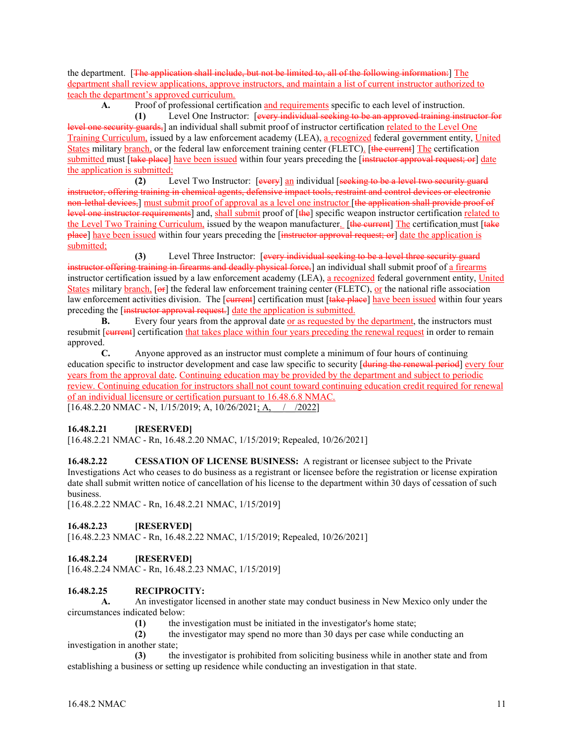the department. [The application shall include, but not be limited to, all of the following information:] The department shall review applications, approve instructors, and maintain a list of current instructor authorized to teach the department's approved curriculum.

**A.** Proof of professional certification and requirements specific to each level of instruction.

**(1)** Level One Instructor: [every individual seeking to be an approved training instructor for level one security guards,] an individual shall submit proof of instructor certification related to the Level One Training Curriculum, issued by a law enforcement academy (LEA), a recognized federal government entity, United States military branch, or the federal law enforcement training center (FLETC). [the current] The certification submitted must [take place] have been issued within four years preceding the [instructor approval request; or] date the application is submitted;

**(2)** Level Two Instructor: [every] an individual [seeking to be a level two security guard instructor, offering training in chemical agents, defensive impact tools, restraint and control devices or electronic non-lethal devices,] must submit proof of approval as a level one instructor [the application shall provide proof of level one instructor requirements] and, shall submit proof of [the] specific weapon instructor certification related to the Level Two Training Curriculum, issued by the weapon manufacturer. [the current] The certification must [take place] have been issued within four years preceding the [instructor approval request; or] date the application is submitted;

**(3)** Level Three Instructor: [every individual seeking to be a level three security guard instructor offering training in firearms and deadly physical force,] an individual shall submit proof of a firearms instructor certification issued by a law enforcement academy (LEA), a recognized federal government entity, United States military branch, [or] the federal law enforcement training center (FLETC), or the national rifle association law enforcement activities division. The [eurrent] certification must [take place] have been issued within four years preceding the [instructor approval request.] date the application is submitted.

**B.** Every four years from the approval date or as requested by the department, the instructors must resubmit [**current**] certification that takes place within four years preceding the renewal request in order to remain approved.

**C.** Anyone approved as an instructor must complete a minimum of four hours of continuing education specific to instructor development and case law specific to security [during the renewal period] every four years from the approval date. Continuing education may be provided by the department and subject to periodic review. Continuing education for instructors shall not count toward continuing education credit required for renewal of an individual licensure or certification pursuant to 16.48.6.8 NMAC.  $[16.48.2.20 \text{ NMAC - N}, 1/15/2019; \text{A}, 10/26/2021; \text{A}, ]/2022]$ 

## **16.48.2.21 [RESERVED]**

[16.48.2.21 NMAC - Rn, 16.48.2.20 NMAC, 1/15/2019; Repealed, 10/26/2021]

**16.48.2.22 CESSATION OF LICENSE BUSINESS:** A registrant or licensee subject to the Private Investigations Act who ceases to do business as a registrant or licensee before the registration or license expiration date shall submit written notice of cancellation of his license to the department within 30 days of cessation of such business.

[16.48.2.22 NMAC - Rn, 16.48.2.21 NMAC, 1/15/2019]

#### **16.48.2.23 [RESERVED]**

[16.48.2.23 NMAC - Rn, 16.48.2.22 NMAC, 1/15/2019; Repealed, 10/26/2021]

#### **16.48.2.24 [RESERVED]**

[16.48.2.24 NMAC - Rn, 16.48.2.23 NMAC, 1/15/2019]

#### **16.48.2.25 RECIPROCITY:**

**A.** An investigator licensed in another state may conduct business in New Mexico only under the circumstances indicated below:

**(1)** the investigation must be initiated in the investigator's home state;

**(2)** the investigator may spend no more than 30 days per case while conducting an investigation in another state;

**(3)** the investigator is prohibited from soliciting business while in another state and from establishing a business or setting up residence while conducting an investigation in that state.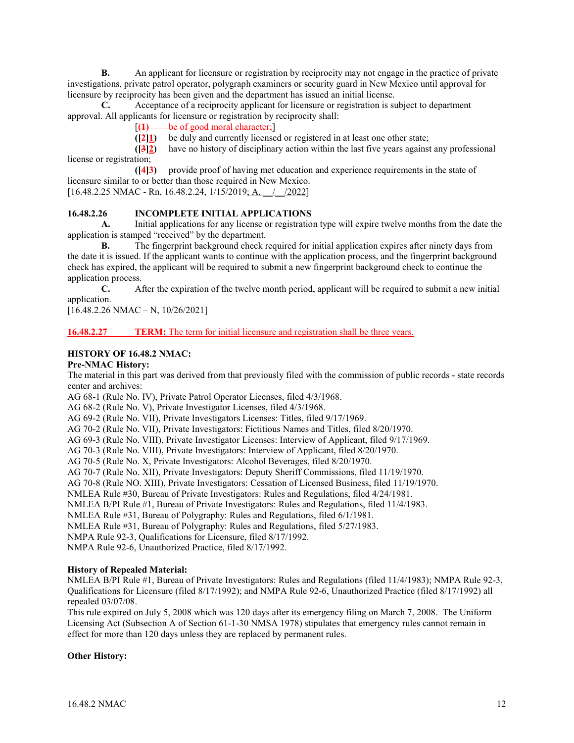**B.** An applicant for licensure or registration by reciprocity may not engage in the practice of private investigations, private patrol operator, polygraph examiners or security guard in New Mexico until approval for licensure by reciprocity has been given and the department has issued an initial license.

**C.** Acceptance of a reciprocity applicant for licensure or registration is subject to department approval. All applicants for licensure or registration by reciprocity shall:

[**(1)** be of good moral character;]

**([2]1)** be duly and currently licensed or registered in at least one other state;

**([3]2)** have no history of disciplinary action within the last five years against any professional license or registration;

**([4]3)** provide proof of having met education and experience requirements in the state of licensure similar to or better than those required in New Mexico. [16.48.2.25 NMAC - Rn, 16.48.2.24, 1/15/2019; A, \_\_/\_\_/2022]

# **16.48.2.26 INCOMPLETE INITIAL APPLICATIONS**

**A.** Initial applications for any license or registration type will expire twelve months from the date the application is stamped "received" by the department.

**B.** The fingerprint background check required for initial application expires after ninety days from the date it is issued. If the applicant wants to continue with the application process, and the fingerprint background check has expired, the applicant will be required to submit a new fingerprint background check to continue the application process.

**C.** After the expiration of the twelve month period, applicant will be required to submit a new initial application.

[16.48.2.26 NMAC – N, 10/26/2021]

## **16.48.2.27 TERM:** The term for initial licensure and registration shall be three years.

## **HISTORY OF 16.48.2 NMAC:**

#### **Pre-NMAC History:**

The material in this part was derived from that previously filed with the commission of public records - state records center and archives:

AG 68-1 (Rule No. IV), Private Patrol Operator Licenses, filed 4/3/1968.

AG 68-2 (Rule No. V), Private Investigator Licenses, filed 4/3/1968.

AG 69-2 (Rule No. VII), Private Investigators Licenses: Titles, filed 9/17/1969.

AG 70-2 (Rule No. VII), Private Investigators: Fictitious Names and Titles, filed 8/20/1970.

AG 69-3 (Rule No. VIII), Private Investigator Licenses: Interview of Applicant, filed 9/17/1969.

AG 70-3 (Rule No. VIII), Private Investigators: Interview of Applicant, filed 8/20/1970.

AG 70-5 (Rule No. X, Private Investigators: Alcohol Beverages, filed 8/20/1970.

AG 70-7 (Rule No. XII), Private Investigators: Deputy Sheriff Commissions, filed 11/19/1970.

AG 70-8 (Rule NO. XIII), Private Investigators: Cessation of Licensed Business, filed 11/19/1970.

NMLEA Rule #30, Bureau of Private Investigators: Rules and Regulations, filed 4/24/1981.

NMLEA B/PI Rule #1, Bureau of Private Investigators: Rules and Regulations, filed 11/4/1983.

NMLEA Rule #31, Bureau of Polygraphy: Rules and Regulations, filed 6/1/1981.

NMLEA Rule #31, Bureau of Polygraphy: Rules and Regulations, filed 5/27/1983.

NMPA Rule 92-3, Qualifications for Licensure, filed 8/17/1992.

NMPA Rule 92-6, Unauthorized Practice, filed 8/17/1992.

#### **History of Repealed Material:**

NMLEA B/PI Rule #1, Bureau of Private Investigators: Rules and Regulations (filed 11/4/1983); NMPA Rule 92-3, Qualifications for Licensure (filed 8/17/1992); and NMPA Rule 92-6, Unauthorized Practice (filed 8/17/1992) all repealed 03/07/08.

This rule expired on July 5, 2008 which was 120 days after its emergency filing on March 7, 2008. The Uniform Licensing Act (Subsection A of Section 61-1-30 NMSA 1978) stipulates that emergency rules cannot remain in effect for more than 120 days unless they are replaced by permanent rules.

#### **Other History:**